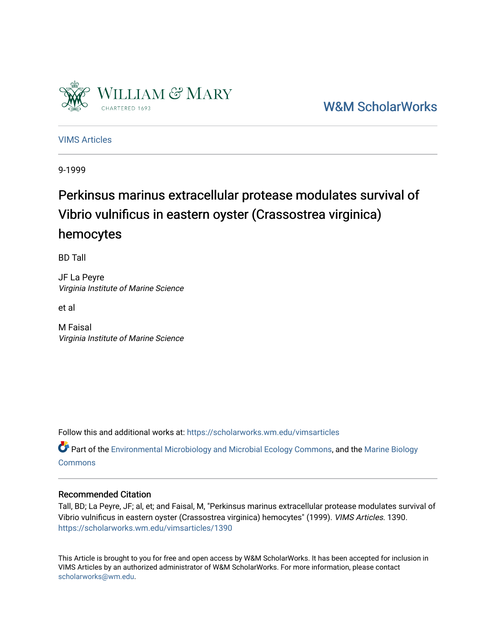

[W&M ScholarWorks](https://scholarworks.wm.edu/) 

[VIMS Articles](https://scholarworks.wm.edu/vimsarticles)

9-1999

## Perkinsus marinus extracellular protease modulates survival of Vibrio vulnificus in eastern oyster (Crassostrea virginica) hemocytes

BD Tall

JF La Peyre Virginia Institute of Marine Science

et al

M Faisal Virginia Institute of Marine Science

Follow this and additional works at: [https://scholarworks.wm.edu/vimsarticles](https://scholarworks.wm.edu/vimsarticles?utm_source=scholarworks.wm.edu%2Fvimsarticles%2F1390&utm_medium=PDF&utm_campaign=PDFCoverPages)

Part of the [Environmental Microbiology and Microbial Ecology Commons,](http://network.bepress.com/hgg/discipline/50?utm_source=scholarworks.wm.edu%2Fvimsarticles%2F1390&utm_medium=PDF&utm_campaign=PDFCoverPages) and the Marine Biology **[Commons](http://network.bepress.com/hgg/discipline/1126?utm_source=scholarworks.wm.edu%2Fvimsarticles%2F1390&utm_medium=PDF&utm_campaign=PDFCoverPages)** 

## Recommended Citation

Tall, BD; La Peyre, JF; al, et; and Faisal, M, "Perkinsus marinus extracellular protease modulates survival of Vibrio vulnificus in eastern oyster (Crassostrea virginica) hemocytes" (1999). VIMS Articles. 1390. [https://scholarworks.wm.edu/vimsarticles/1390](https://scholarworks.wm.edu/vimsarticles/1390?utm_source=scholarworks.wm.edu%2Fvimsarticles%2F1390&utm_medium=PDF&utm_campaign=PDFCoverPages) 

This Article is brought to you for free and open access by W&M ScholarWorks. It has been accepted for inclusion in VIMS Articles by an authorized administrator of W&M ScholarWorks. For more information, please contact [scholarworks@wm.edu.](mailto:scholarworks@wm.edu)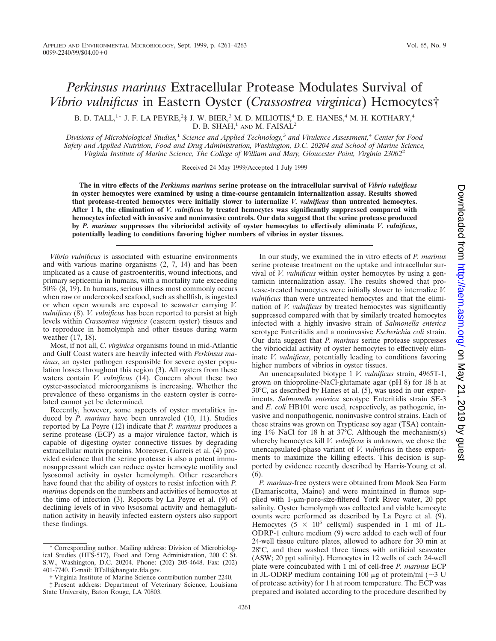## *Perkinsus marinus* Extracellular Protease Modulates Survival of *Vibrio vulnificus* in Eastern Oyster (*Crassostrea virginica*) Hemocytes†

B. D. TALL, $^{1*}$  J. F. LA PEYRE, $^{2}\ddagger$  J. W. BIER, $^{3}$  M. D. MILIOTIS, $^{4}$  D. E. HANES, $^{4}$  M. H. KOTHARY, $^{4}$ D. B. SHAH, $^1$  AND M. FAISAL<sup>2</sup>

*Divisions of Microbiological Studies,*<sup>1</sup> *Science and Applied Technology,*<sup>3</sup> *and Virulence Assessment,*<sup>4</sup> *Center for Food Safety and Applied Nutrition, Food and Drug Administration, Washington, D.C. 20204 and School of Marine Science, Virginia Institute of Marine Science, The College of William and Mary, Gloucester Point, Virginia 23062*<sup>2</sup>

Received 24 May 1999/Accepted 1 July 1999

**The in vitro effects of the** *Perkinsus marinus* **serine protease on the intracellular survival of** *Vibrio vulnificus* **in oyster hemocytes were examined by using a time-course gentamicin internalization assay. Results showed that protease-treated hemocytes were initially slower to internalize** *V. vulnificus* **than untreated hemocytes. After 1 h, the elimination of** *V. vulnificus* **by treated hemocytes was significantly suppressed compared with hemocytes infected with invasive and noninvasive controls. Our data suggest that the serine protease produced by** *P. marinus* **suppresses the vibriocidal activity of oyster hemocytes to effectively eliminate** *V. vulnificus***, potentially leading to conditions favoring higher numbers of vibrios in oyster tissues.**

*Vibrio vulnificus* is associated with estuarine environments and with various marine organisms (2, 7, 14) and has been implicated as a cause of gastroenteritis, wound infections, and primary septicemia in humans, with a mortality rate exceeding 50% (8, 19). In humans, serious illness most commonly occurs when raw or undercooked seafood, such as shellfish, is ingested or when open wounds are exposed to seawater carrying *V. vulnificus* (8). *V. vulnificus* has been reported to persist at high levels within *Crassostrea virginica* (eastern oyster) tissues and to reproduce in hemolymph and other tissues during warm weather (17, 18).

Most, if not all, *C. virginica* organisms found in mid-Atlantic and Gulf Coast waters are heavily infected with *Perkinsus marinus*, an oyster pathogen responsible for severe oyster population losses throughout this region (3). All oysters from these waters contain *V. vulnificus* (14). Concern about these two oyster-associated microorganisms is increasing. Whether the prevalence of these organisms in the eastern oyster is correlated cannot yet be determined.

Recently, however, some aspects of oyster mortalities induced by *P. marinus* have been unraveled (10, 11). Studies reported by La Peyre (12) indicate that *P. marinus* produces a serine protease (ECP) as a major virulence factor, which is capable of digesting oyster connective tissues by degrading extracellular matrix proteins. Moreover, Garreis et al. (4) provided evidence that the serine protease is also a potent immunosuppressant which can reduce oyster hemocyte motility and lysosomal activity in oyster hemolymph. Other researchers have found that the ability of oysters to resist infection with *P. marinus* depends on the numbers and activities of hemocytes at the time of infection (3). Reports by La Peyre et al. (9) of declining levels of in vivo lysosomal activity and hemagglutination activity in heavily infected eastern oysters also support these findings.

In our study, we examined the in vitro effects of *P. marinus* serine protease treatment on the uptake and intracellular survival of *V. vulnificus* within oyster hemocytes by using a gentamicin internalization assay. The results showed that protease-treated hemocytes were initially slower to internalize *V. vulnificus* than were untreated hemocytes and that the elimination of *V. vulnificus* by treated hemocytes was significantly suppressed compared with that by similarly treated hemocytes infected with a highly invasive strain of *Salmonella enterica* serotype Enteritidis and a noninvasive *Escherichia coli* strain. Our data suggest that *P. marinus* serine protease suppresses the vibriocidal activity of oyster hemocytes to effectively eliminate *V. vulnificus*, potentially leading to conditions favoring higher numbers of vibrios in oyster tissues.

An unencapsulated biotype 1 *V. vulnificus* strain, 4965T-1, grown on thioproline-NaCl-glutamate agar (pH 8) for 18 h at 30°C, as described by Hanes et al. (5), was used in our experiments. *Salmonella enterica* serotype Enteritidis strain SE-3 and *E. coli* HB101 were used, respectively, as pathogenic, invasive and nonpathogenic, noninvasive control strains. Each of these strains was grown on Trypticase soy agar (TSA) containing  $1\%$  NaCl for 18 h at 37°C. Although the mechanism(s) whereby hemocytes kill *V. vulnificus* is unknown, we chose the unencapsulated-phase variant of *V. vulnificus* in these experiments to maximize the killing effects. This decision is supported by evidence recently described by Harris-Young et al. (6).

*P. marinus*-free oysters were obtained from Mook Sea Farm (Damariscotta, Maine) and were maintained in flumes supplied with 1-µm-pore-size-filtered York River water, 20 ppt salinity. Oyster hemolymph was collected and viable hemocyte counts were performed as described by La Peyre et al. (9). Hemocytes  $(5 \times 10^5 \text{ cells/ml})$  suspended in 1 ml of JL-ODRP-1 culture medium (9) were added to each well of four 24-well tissue culture plates, allowed to adhere for 30 min at 28°C, and then washed three times with artificial seawater (ASW; 20 ppt salinity). Hemocytes in 12 wells of each 24-well plate were coincubated with 1 ml of cell-free *P. marinus* ECP in JL-ODRP medium containing 100  $\mu$ g of protein/ml (~3 U of protease activity) for 1 h at room temperature. The ECP was prepared and isolated according to the procedure described by

<sup>\*</sup> Corresponding author. Mailing address: Division of Microbiological Studies (HFS-517), Food and Drug Administration, 200 C St. S.W., Washington, D.C. 20204. Phone: (202) 205-4648. Fax: (202) 401-7740. E-mail: BTall@bangate.fda.gov.

<sup>†</sup> Virginia Institute of Marine Science contribution number 2240.

<sup>‡</sup> Present address: Department of Veterinary Science, Louisiana State University, Baton Rouge, LA 70803.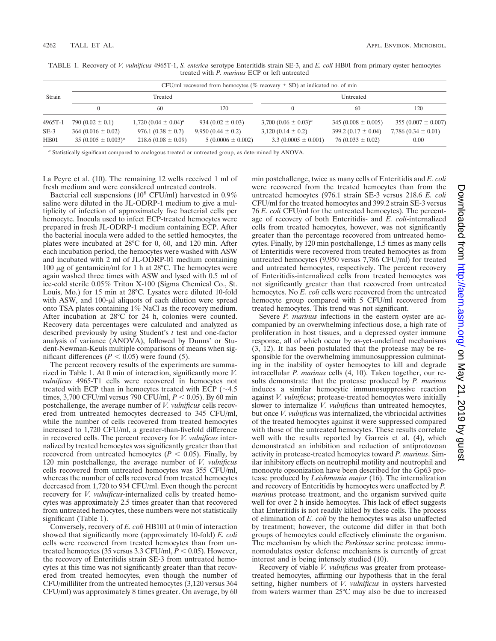|         | CFU/ml recovered from hemocytes (% recovery $\pm$ SD) at indicated no. of min |                          |                       |                           |                         |                         |
|---------|-------------------------------------------------------------------------------|--------------------------|-----------------------|---------------------------|-------------------------|-------------------------|
| Strain  | Treated                                                                       |                          |                       | Untreated                 |                         |                         |
|         |                                                                               | 60                       | 120                   | $^{(1)}$                  | 60                      | 120                     |
| 4965T-1 | 790 $(0.02 \pm 0.1)$                                                          | $1,720(0.04 \pm 0.04)^a$ | 934 $(0.02 \pm 0.03)$ | 3,700 $(0.06 \pm 0.03)^a$ | $345(0.008 \pm 0.005)$  | 355 $(0.007 \pm 0.007)$ |
| $SE-3$  | $364(0.016 \pm 0.02)$                                                         | $976.1(0.38 \pm 0.7)$    | $9,950(0.44 \pm 0.2)$ | $3,120(0.14 \pm 0.2)$     | 399.2 $(0.17 \pm 0.04)$ | 7,786 $(0.34 \pm 0.01)$ |
| HB01    | $35 (0.005 \pm 0.003)^a$                                                      | $218.6(0.08 \pm 0.09)$   | $5(0.0006 \pm 0.002)$ | $3.3(0.0005 \pm 0.001)$   | $76(0.033 \pm 0.02)$    | 0.00                    |

TABLE 1. Recovery of *V. vulnificus* 4965T-1, *S. enterica* serotype Enteritidis strain SE-3, and *E. coli* HB01 from primary oyster hemocytes treated with *P. marinus* ECP or left untreated

*<sup>a</sup>* Statistically significant compared to analogous treated or untreated group, as determined by ANOVA.

La Peyre et al. (10). The remaining 12 wells received 1 ml of fresh medium and were considered untreated controls.

Bacterial cell suspensions ( $10^8$  CFU/ml) harvested in  $0.9\%$ saline were diluted in the JL-ODRP-1 medium to give a multiplicity of infection of approximately five bacterial cells per hemocyte. Inocula used to infect ECP-treated hemocytes were prepared in fresh JL-ODRP-1 medium containing ECP. After the bacterial inocula were added to the settled hemocytes, the plates were incubated at 28°C for 0, 60, and 120 min. After each incubation period, the hemocytes were washed with ASW and incubated with 2 ml of JL-ODRP-01 medium containing 100  $\mu$ g of gentamicin/ml for 1 h at 28°C. The hemocytes were again washed three times with ASW and lysed with 0.5 ml of ice-cold sterile 0.05% Triton X-100 (Sigma Chemical Co., St. Louis, Mo.) for 15 min at 28°C. Lysates were diluted 10-fold with ASW, and  $100-\mu l$  aliquots of each dilution were spread onto TSA plates containing 1% NaCl as the recovery medium. After incubation at 28°C for 24 h, colonies were counted. Recovery data percentages were calculated and analyzed as described previously by using Student's *t* test and one-factor analysis of variance (ANOVA), followed by Dunns' or Student-Newman-Keuls multiple comparisons of means when significant differences ( $P < 0.05$ ) were found (5).

The percent recovery results of the experiments are summarized in Table 1. At 0 min of interaction, significantly more *V. vulnificus* 4965-T1 cells were recovered in hemocytes not treated with ECP than in hemocytes treated with ECP ( $\sim$ 4.5 times, 3,700 CFU/ml versus 790 CFU/ml,  $P < 0.05$ ). By 60 min postchallenge, the average number of *V. vulnificus* cells recovered from untreated hemocytes decreased to 345 CFU/ml, while the number of cells recovered from treated hemocytes increased to 1,720 CFU/ml, a greater-than-fivefold difference in recovered cells. The percent recovery for *V. vulnificus* internalized by treated hemocytes was significantly greater than that recovered from untreated hemocytes ( $P < 0.05$ ). Finally, by 120 min postchallenge, the average number of *V. vulnificus* cells recovered from untreated hemocytes was 355 CFU/ml, whereas the number of cells recovered from treated hemocytes decreased from 1,720 to 934 CFU/ml. Even though the percent recovery for *V. vulnificus*-internalized cells by treated hemocytes was approximately 2.5 times greater than that recovered from untreated hemocytes, these numbers were not statistically significant (Table 1).

Conversely, recovery of *E. coli* HB101 at 0 min of interaction showed that significantly more (approximately 10-fold) *E. coli* cells were recovered from treated hemocytes than from untreated hemocytes (35 versus 3.3 CFU/ml,  $P < 0.05$ ). However, the recovery of Enteritidis strain SE-3 from untreated hemocytes at this time was not significantly greater than that recovered from treated hemocytes, even though the number of CFU/milliliter from the untreated hemocytes (3,120 versus 364 CFU/ml) was approximately 8 times greater. On average, by 60 min postchallenge, twice as many cells of Enteritidis and *E. coli* were recovered from the treated hemocytes than from the untreated hemocytes (976.1 strain SE-3 versus 218.6 *E. coli* CFU/ml for the treated hemocytes and 399.2 strain SE-3 versus 76 *E. coli* CFU/ml for the untreated hemocytes). The percentage of recovery of both Enteritidis- and *E. coli*-internalized cells from treated hemocytes, however, was not significantly greater than the percentage recovered from untreated hemocytes. Finally, by 120 min postchallenge, 1.5 times as many cells of Enteritidis were recovered from treated hemocytes as from untreated hemocytes (9,950 versus 7,786 CFU/ml) for treated and untreated hemocytes, respectively. The percent recovery of Enteritidis-internalized cells from treated hemocytes was not significantly greater than that recovered from untreated hemocytes. No *E. coli* cells were recovered from the untreated hemocyte group compared with 5 CFU/ml recovered from treated hemocytes. This trend was not significant.

Severe *P. marinus* infections in the eastern oyster are accompanied by an overwhelming infectious dose, a high rate of proliferation in host tissues, and a depressed oyster immune response, all of which occur by as-yet-undefined mechanisms (3, 12). It has been postulated that the protease may be responsible for the overwhelming immunosuppression culminating in the inability of oyster hemocytes to kill and degrade intracellular *P. marinus* cells (4, 10). Taken together, our results demonstrate that the protease produced by *P. marinus* induces a similar hemocytic immunosuppressive reaction against *V. vulnificus*; protease-treated hemocytes were initially slower to internalize *V. vulnificus* than untreated hemocytes, but once *V. vulnificus* was internalized, the vibriocidal activities of the treated hemocytes against it were suppressed compared with those of the untreated hemocytes. These results correlate well with the results reported by Garreis et al. (4), which demonstrated an inhibition and reduction of antiprotozoan activity in protease-treated hemocytes toward *P. marinus*. Similar inhibitory effects on neutrophil motility and neutrophil and monocyte opsonization have been described for the Gp63 protease produced by *Leishmania major* (16). The internalization and recovery of Enteritidis by hemocytes were unaffected by *P. marinus* protease treatment, and the organism survived quite well for over 2 h inside hemocytes. This lack of effect suggests that Enteritidis is not readily killed by these cells. The process of elimination of *E. coli* by the hemocytes was also unaffected by treatment; however, the outcome did differ in that both groups of hemocytes could effectively eliminate the organism. The mechanism by which the *Perkinsus* serine protease immunomodulates oyster defense mechanisms is currently of great interest and is being intensely studied (10).

Recovery of viable *V. vulnificus* was greater from proteasetreated hemocytes, affirming our hypothesis that in the feral setting, higher numbers of *V. vulnificus* in oysters harvested from waters warmer than 25°C may also be due to increased